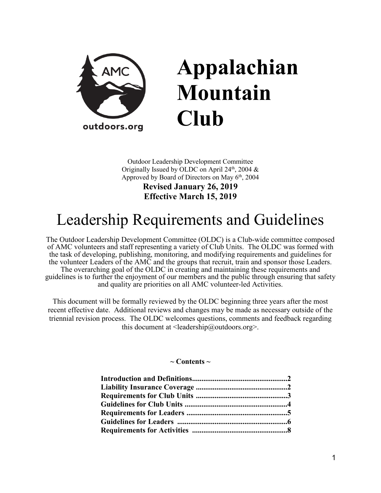

# **Appalachian Mountain Club**

Outdoor Leadership Development Committee Originally Issued by OLDC on April  $24<sup>th</sup>$ , 2004 & Approved by Board of Directors on May 6<sup>th</sup>, 2004

> **Revised January 26, 2019 Effective March 15, 2019**

# Leadership Requirements and Guidelines

The Outdoor Leadership Development Committee (OLDC) is a Club-wide committee composed of AMC volunteers and staff representing a variety of Club Units. The OLDC was formed with the task of developing, publishing, monitoring, and modifying requirements and guidelines for the volunteer Leaders of the AMC and the groups that recruit, train and sponsor those Leaders. The overarching goal of the OLDC in creating and maintaining these requirements and guidelines is to further the enjoyment of our members and the public through ensuring that safety and quality are priorities on all AMC volunteer-led Activities.

This document will be formally reviewed by the OLDC beginning three years after the most recent effective date. Additional reviews and changes may be made as necessary outside of the triennial revision process. The OLDC welcomes questions, comments and feedback regarding this document at  $\leq$  leadership@outdoors.org  $\geq$ .

**~ Contents ~**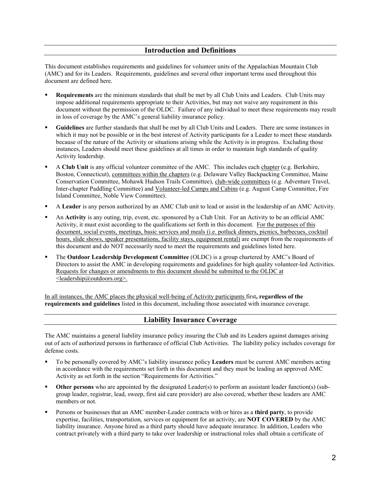This document establishes requirements and guidelines for volunteer units of the Appalachian Mountain Club (AMC) and for its Leaders. Requirements, guidelines and several other important terms used throughout this document are defined here.

- **Requirements** are the minimum standards that shall be met by all Club Units and Leaders. Club Units may impose additional requirements appropriate to their Activities, but may not waive any requirement in this document without the permission of the OLDC. Failure of any individual to meet these requirements may result in loss of coverage by the AMC's general liability insurance policy.
- **Guidelines** are further standards that shall be met by all Club Units and Leaders. There are some instances in which it may not be possible or in the best interest of Activity participants for a Leader to meet these standards because of the nature of the Activity or situations arising while the Activity is in progress. Excluding those instances, Leaders should meet these guidelines at all times in order to maintain high standards of quality Activity leadership.
- A **Club Unit** is any official volunteer committee of the AMC. This includes each chapter (e.g. Berkshire, Boston, Connecticut), committees within the chapters (e.g. Delaware Valley Backpacking Committee, Maine Conservation Committee, Mohawk Hudson Trails Committee), club-wide committees (e.g. Adventure Travel, Inter-chapter Paddling Committee) and Volunteer-led Camps and Cabins (e.g. August Camp Committee, Fire Island Committee, Noble View Committee).
- A **Leader** is any person authorized by an AMC Club unit to lead or assist in the leadership of an AMC Activity.
- An **Activity** is any outing, trip, event, etc. sponsored by a Club Unit. For an Activity to be an official AMC Activity, it must exist according to the qualifications set forth in this document. For the purposes of this document, social events, meetings, basic services and meals (i.e. potluck dinners, picnics, barbecues, cocktail hours, slide shows, speaker presentations, facility stays, equipment rental) are exempt from the requirements of this document and do NOT necessarily need to meet the requirements and guidelines listed here.
- The **Outdoor Leadership Development Committee** (OLDC) is a group chartered by AMC's Board of Directors to assist the AMC in developing requirements and guidelines for high quality volunteer-led Activities. Requests for changes or amendments to this document should be submitted to the OLDC at <leadership@outdoors.org>.

In all instances, the AMC places the physical well-being of Activity participants first**, regardless of the requirements and guidelines** listed in this document, including those associated with insurance coverage.

#### **Liability Insurance Coverage**

The AMC maintains a general liability insurance policy insuring the Club and its Leaders against damages arising out of acts of authorized persons in furtherance of official Club Activities. The liability policy includes coverage for defense costs.

- To be personally covered by AMC's liability insurance policy **Leaders** must be current AMC members acting in accordance with the requirements set forth in this document and they must be leading an approved AMC Activity as set forth in the section "Requirements for Activities."
- **Other persons** who are appointed by the designated Leader(s) to perform an assistant leader function(s) (subgroup leader, registrar, lead, sweep, first aid care provider) are also covered, whether these leaders are AMC members or not.
- Persons or businesses that an AMC member-Leader contracts with or hires as a **third party**, to provide expertise, facilities, transportation, services or equipment for an activity, are **NOT COVERED** by the AMC liability insurance. Anyone hired as a third party should have adequate insurance. In addition, Leaders who contract privately with a third party to take over leadership or instructional roles shall obtain a certificate of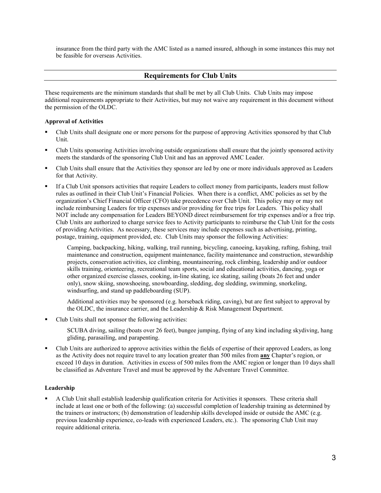insurance from the third party with the AMC listed as a named insured, although in some instances this may not be feasible for overseas Activities.

#### **Requirements for Club Units**

These requirements are the minimum standards that shall be met by all Club Units. Club Units may impose additional requirements appropriate to their Activities, but may not waive any requirement in this document without the permission of the OLDC.

#### **Approval of Activities**

- Club Units shall designate one or more persons for the purpose of approving Activities sponsored by that Club Unit.
- Club Units sponsoring Activities involving outside organizations shall ensure that the jointly sponsored activity meets the standards of the sponsoring Club Unit and has an approved AMC Leader.
- Club Units shall ensure that the Activities they sponsor are led by one or more individuals approved as Leaders for that Activity.
- If a Club Unit sponsors activities that require Leaders to collect money from participants, leaders must follow rules as outlined in their Club Unit's Financial Policies. When there is a conflict, AMC policies as set by the organization's Chief Financial Officer (CFO) take precedence over Club Unit. This policy may or may not include reimbursing Leaders for trip expenses and/or providing for free trips for Leaders. This policy shall NOT include any compensation for Leaders BEYOND direct reimbursement for trip expenses and/or a free trip. Club Units are authorized to charge service fees to Activity participants to reimburse the Club Unit for the costs of providing Activities. As necessary, these services may include expenses such as advertising, printing, postage, training, equipment provided, etc. Club Units may sponsor the following Activities:
	- Camping, backpacking, hiking, walking, trail running, bicycling, canoeing, kayaking, rafting, fishing, trail maintenance and construction, equipment maintenance, facility maintenance and construction, stewardship projects, conservation activities, ice climbing, mountaineering, rock climbing, leadership and/or outdoor skills training, orienteering, recreational team sports, social and educational activities, dancing, yoga or other organized exercise classes, cooking, in-line skating, ice skating, sailing (boats 26 feet and under only), snow skiing, snowshoeing, snowboarding, sledding, dog sledding, swimming, snorkeling, windsurfing, and stand up paddleboarding (SUP).
	- Additional activities may be sponsored (e.g. horseback riding, caving), but are first subject to approval by the OLDC, the insurance carrier, and the Leadership & Risk Management Department.
- Club Units shall not sponsor the following activities:
	- SCUBA diving, sailing (boats over 26 feet), bungee jumping, flying of any kind including skydiving, hang gliding, parasailing, and parapenting.
- Club Units are authorized to approve activities within the fields of expertise of their approved Leaders, as long as the Activity does not require travel to any location greater than 500 miles from **any** Chapter's region, or exceed 10 days in duration. Activities in excess of 500 miles from the AMC region or longer than 10 days shall be classified as Adventure Travel and must be approved by the Adventure Travel Committee.

#### **Leadership**

 A Club Unit shall establish leadership qualification criteria for Activities it sponsors. These criteria shall include at least one or both of the following: (a) successful completion of leadership training as determined by the trainers or instructors; (b) demonstration of leadership skills developed inside or outside the AMC (e.g. previous leadership experience, co-leads with experienced Leaders, etc.). The sponsoring Club Unit may require additional criteria.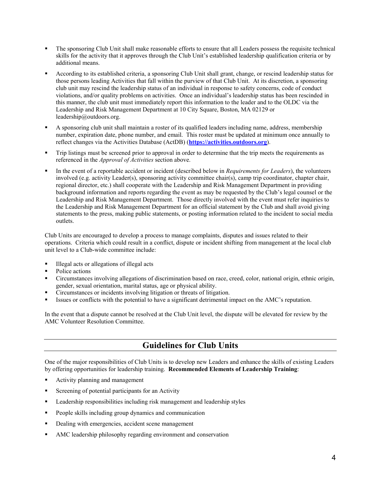- The sponsoring Club Unit shall make reasonable efforts to ensure that all Leaders possess the requisite technical skills for the activity that it approves through the Club Unit's established leadership qualification criteria or by additional means.
- According to its established criteria, a sponsoring Club Unit shall grant, change, or rescind leadership status for those persons leading Activities that fall within the purview of that Club Unit. At its discretion, a sponsoring club unit may rescind the leadership status of an individual in response to safety concerns, code of conduct violations, and/or quality problems on activities. Once an individual's leadership status has been rescinded in this manner, the club unit must immediately report this information to the leader and to the OLDC via the Leadership and Risk Management Department at 10 City Square, Boston, MA 02129 or [leadership@outdoors.org.](mailto:leadership@outdoors.org)
- A sponsoring club unit shall maintain a roster of its qualified leaders including name, address, membership number, expiration date, phone number, and email. This roster must be updated at minimum once annually to reflect changes via the Activities Database (ActDB) (**[https://activities.outdoors.org](https://activities.outdoors.org/)**).
- Trip listings must be screened prior to approval in order to determine that the trip meets the requirements as referenced in the *Approval of Activities* section above.
- In the event of a reportable accident or incident (described below in *Requirements for Leaders*), the volunteers involved (e.g. activity Leader(s), sponsoring activity committee chair(s), camp trip coordinator, chapter chair, regional director, etc.) shall cooperate with the Leadership and Risk Management Department in providing background information and reports regarding the event as may be requested by the Club's legal counsel or the Leadership and Risk Management Department. Those directly involved with the event must refer inquiries to the Leadership and Risk Management Department for an official statement by the Club and shall avoid giving statements to the press, making public statements, or posting information related to the incident to social media outlets.

Club Units are encouraged to develop a process to manage complaints, disputes and issues related to their operations. Criteria which could result in a conflict, dispute or incident shifting from management at the local club unit level to a Club-wide committee include:

- Illegal acts or allegations of illegal acts
- Police actions
- Circumstances involving allegations of discrimination based on race, creed, color, national origin, ethnic origin, gender, sexual orientation, marital status, age or physical ability.
- Circumstances or incidents involving litigation or threats of litigation.
- Issues or conflicts with the potential to have a significant detrimental impact on the AMC's reputation.

In the event that a dispute cannot be resolved at the Club Unit level, the dispute will be elevated for review by the AMC Volunteer Resolution Committee.

## **Guidelines for Club Units**

One of the major responsibilities of Club Units is to develop new Leaders and enhance the skills of existing Leaders by offering opportunities for leadership training. **Recommended Elements of Leadership Training**:

- Activity planning and management
- Screening of potential participants for an Activity
- Leadership responsibilities including risk management and leadership styles
- **People skills including group dynamics and communication**
- Dealing with emergencies, accident scene management
- AMC leadership philosophy regarding environment and conservation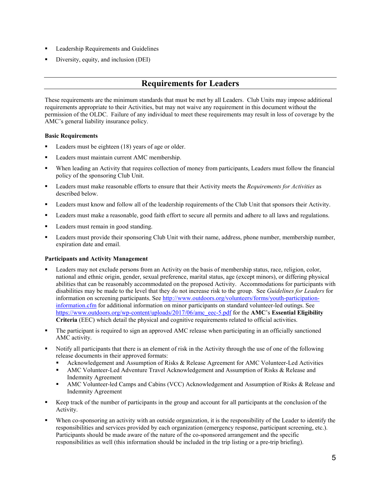- Leadership Requirements and Guidelines
- Diversity, equity, and inclusion (DEI)

### **Requirements for Leaders**

These requirements are the minimum standards that must be met by all Leaders. Club Units may impose additional requirements appropriate to their Activities, but may not waive any requirement in this document without the permission of the OLDC. Failure of any individual to meet these requirements may result in loss of coverage by the AMC's general liability insurance policy.

#### **Basic Requirements**

- Leaders must be eighteen (18) years of age or older.
- **Leaders must maintain current AMC membership.**
- When leading an Activity that requires collection of money from participants, Leaders must follow the financial policy of the sponsoring Club Unit.
- Leaders must make reasonable efforts to ensure that their Activity meets the *Requirements for Activities* as described below.
- Leaders must know and follow all of the leadership requirements of the Club Unit that sponsors their Activity.
- Leaders must make a reasonable, good faith effort to secure all permits and adhere to all laws and regulations.
- Leaders must remain in good standing.
- **Leaders must provide their sponsoring Club Unit with their name, address, phone number, membership number,** expiration date and email.

#### **Participants and Activity Management**

- Leaders may not exclude persons from an Activity on the basis of membership status, race, religion, color, national and ethnic origin, gender, sexual preference, marital status, age (except minors), or differing physical abilities that can be reasonably accommodated on the proposed Activity. Accommodations for participants with disabilities may be made to the level that they do not increase risk to the group. See *Guidelines for Leaders* for information on screening participants. See [http://www.outdoors.org/volunteers/forms/youth-participation](http://www.outdoors.org/volunteers/forms/youth-participation-information.cfm)[information.cfm](http://www.outdoors.org/volunteers/forms/youth-participation-information.cfm) for additional information on minor participants on standard volunteer-led outings. See [https://www.outdoors.org/wp-content/uploads/2017/06/amc\\_eec-5.pdf](https://www.outdoors.org/wp-content/uploads/2017/06/amc_eec-5.pdf) for the **AMC**'s **Essential Eligibility Criteria** (EEC) which detail the physical and cognitive requirements related to official activities.
- The participant is required to sign an approved AMC release when participating in an officially sanctioned AMC activity.
- Notify all participants that there is an element of risk in the Activity through the use of one of the following release documents in their approved formats:
	- Acknowledgement and Assumption of Risks & Release Agreement for AMC Volunteer-Led Activities
	- AMC Volunteer-Led Adventure Travel Acknowledgement and Assumption of Risks & Release and Indemnity Agreement
	- AMC Volunteer-led Camps and Cabins (VCC) Acknowledgement and Assumption of Risks & Release and Indemnity Agreement
- Keep track of the number of participants in the group and account for all participants at the conclusion of the Activity.
- When co-sponsoring an activity with an outside organization, it is the responsibility of the Leader to identify the responsibilities and services provided by each organization (emergency response, participant screening, etc.). Participants should be made aware of the nature of the co-sponsored arrangement and the specific responsibilities as well (this information should be included in the trip listing or a pre-trip briefing).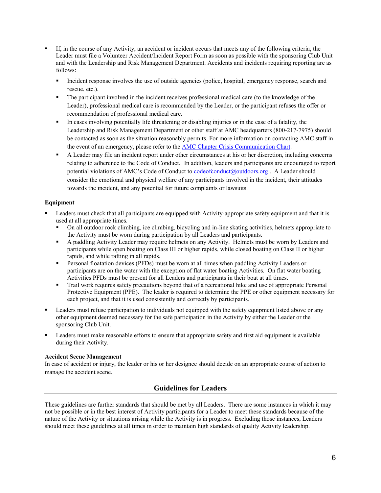- If, in the course of any Activity, an accident or incident occurs that meets any of the following criteria, the Leader must file a Volunteer Accident/Incident Report Form as soon as possible with the sponsoring Club Unit and with the Leadership and Risk Management Department. Accidents and incidents requiring reporting are as follows:
	- Incident response involves the use of outside agencies (police, hospital, emergency response, search and rescue, etc.).
	- The participant involved in the incident receives professional medical care (to the knowledge of the Leader), professional medical care is recommended by the Leader, or the participant refuses the offer or recommendation of professional medical care.
	- In cases involving potentially life threatening or disabling injuries or in the case of a fatality, the Leadership and Risk Management Department or other staff at AMC headquarters (800-217-7975) should be contacted as soon as the situation reasonably permits. For more information on contacting AMC staff in the event of an emergency, please refer to the **AMC Chapter Crisis Communication Chart**.
	- A Leader may file an incident report under other circumstances at his or her discretion, including concerns relating to adherence to the Code of Conduct. In addition, leaders and participants are encouraged to report potential violations of AMC's Code of Conduct to [codeofconduct@outdoors.org](mailto:codeofconduct@outdoors.org) . A Leader should consider the emotional and physical welfare of any participants involved in the incident, their attitudes towards the incident, and any potential for future complaints or lawsuits.

#### **Equipment**

- Leaders must check that all participants are equipped with Activity-appropriate safety equipment and that it is used at all appropriate times.
	- On all outdoor rock climbing, ice climbing, bicycling and in-line skating activities, helmets appropriate to the Activity must be worn during participation by all Leaders and participants.
	- A paddling Activity Leader may require helmets on any Activity. Helmets must be worn by Leaders and participants while open boating on Class III or higher rapids, while closed boating on Class II or higher rapids, and while rafting in all rapids.
	- **Personal floatation devices (PFDs) must be worn at all times when paddling Activity Leaders or** participants are on the water with the exception of flat water boating Activities. On flat water boating Activities PFDs must be present for all Leaders and participants in their boat at all times.
	- Trail work requires safety precautions beyond that of a recreational hike and use of appropriate Personal Protective Equipment (PPE). The leader is required to determine the PPE or other equipment necessary for each project, and that it is used consistently and correctly by participants.
- **Example 1** Leaders must refuse participation to individuals not equipped with the safety equipment listed above or any other equipment deemed necessary for the safe participation in the Activity by either the Leader or the sponsoring Club Unit.
- Leaders must make reasonable efforts to ensure that appropriate safety and first aid equipment is available during their Activity.

#### **Accident Scene Management**

In case of accident or injury, the leader or his or her designee should decide on an appropriate course of action to manage the accident scene.

#### **Guidelines for Leaders**

These guidelines are further standards that should be met by all Leaders. There are some instances in which it may not be possible or in the best interest of Activity participants for a Leader to meet these standards because of the nature of the Activity or situations arising while the Activity is in progress. Excluding those instances, Leaders should meet these guidelines at all times in order to maintain high standards of quality Activity leadership.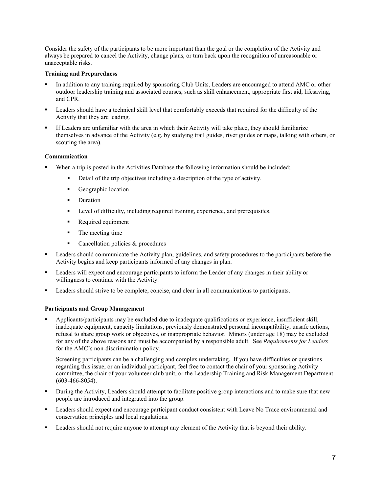Consider the safety of the participants to be more important than the goal or the completion of the Activity and always be prepared to cancel the Activity, change plans, or turn back upon the recognition of unreasonable or unacceptable risks.

#### **Training and Preparedness**

- In addition to any training required by sponsoring Club Units, Leaders are encouraged to attend AMC or other outdoor leadership training and associated courses, such as skill enhancement, appropriate first aid, lifesaving, and CPR.
- Leaders should have a technical skill level that comfortably exceeds that required for the difficulty of the Activity that they are leading.
- If Leaders are unfamiliar with the area in which their Activity will take place, they should familiarize themselves in advance of the Activity (e.g. by studying trail guides, river guides or maps, talking with others, or scouting the area).

#### **Communication**

- When a trip is posted in the Activities Database the following information should be included;
	- Detail of the trip objectives including a description of the type of activity.
	- **Geographic location**
	- Duration
	- **EXECUTE:** Level of difficulty, including required training, experience, and prerequisites.
	- Required equipment
	- The meeting time
	- Cancellation policies  $&$  procedures
- **Example 1** Leaders should communicate the Activity plan, guidelines, and safety procedures to the participants before the Activity begins and keep participants informed of any changes in plan.
- Leaders will expect and encourage participants to inform the Leader of any changes in their ability or willingness to continue with the Activity.
- Leaders should strive to be complete, concise, and clear in all communications to participants.

#### **Participants and Group Management**

 Applicants/participants may be excluded due to inadequate qualifications or experience, insufficient skill, inadequate equipment, capacity limitations, previously demonstrated personal incompatibility, unsafe actions, refusal to share group work or objectives, or inappropriate behavior. Minors (under age 18) may be excluded for any of the above reasons and must be accompanied by a responsible adult. See *Requirements for Leaders* for the AMC's non-discrimination policy.

Screening participants can be a challenging and complex undertaking. If you have difficulties or questions regarding this issue, or an individual participant, feel free to contact the chair of your sponsoring Activity committee, the chair of your volunteer club unit, or the Leadership Training and Risk Management Department (603-466-8054).

- During the Activity, Leaders should attempt to facilitate positive group interactions and to make sure that new people are introduced and integrated into the group.
- Leaders should expect and encourage participant conduct consistent with Leave No Trace environmental and conservation principles and local regulations.
- Leaders should not require anyone to attempt any element of the Activity that is beyond their ability.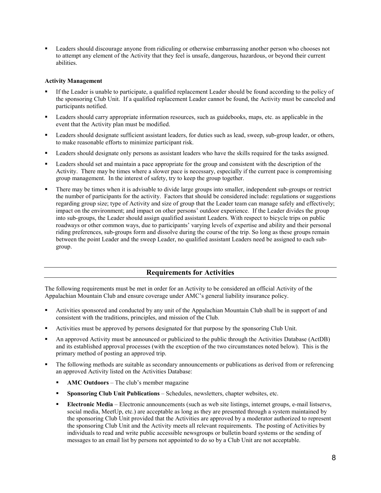Leaders should discourage anyone from ridiculing or otherwise embarrassing another person who chooses not to attempt any element of the Activity that they feel is unsafe, dangerous, hazardous, or beyond their current abilities.

#### **Activity Management**

- If the Leader is unable to participate, a qualified replacement Leader should be found according to the policy of the sponsoring Club Unit. If a qualified replacement Leader cannot be found, the Activity must be canceled and participants notified.
- Leaders should carry appropriate information resources, such as guidebooks, maps, etc. as applicable in the event that the Activity plan must be modified.
- Leaders should designate sufficient assistant leaders, for duties such as lead, sweep, sub-group leader, or others, to make reasonable efforts to minimize participant risk.
- Leaders should designate only persons as assistant leaders who have the skills required for the tasks assigned.
- Leaders should set and maintain a pace appropriate for the group and consistent with the description of the Activity. There may be times where a slower pace is necessary, especially if the current pace is compromising group management. In the interest of safety, try to keep the group together.
- There may be times when it is advisable to divide large groups into smaller, independent sub-groups or restrict the number of participants for the activity. Factors that should be considered include: regulations or suggestions regarding group size; type of Activity and size of group that the Leader team can manage safely and effectively; impact on the environment; and impact on other persons' outdoor experience. If the Leader divides the group into sub-groups, the Leader should assign qualified assistant Leaders. With respect to bicycle trips on public roadways or other common ways, due to participants' varying levels of expertise and ability and their personal riding preferences, sub-groups form and dissolve during the course of the trip. So long as these groups remain between the point Leader and the sweep Leader, no qualified assistant Leaders need be assigned to each subgroup.

#### **Requirements for Activities**

The following requirements must be met in order for an Activity to be considered an official Activity of the Appalachian Mountain Club and ensure coverage under AMC's general liability insurance policy.

- Activities sponsored and conducted by any unit of the Appalachian Mountain Club shall be in support of and consistent with the traditions, principles, and mission of the Club.
- Activities must be approved by persons designated for that purpose by the sponsoring Club Unit.
- An approved Activity must be announced or publicized to the public through the Activities Database (ActDB) and its established approval processes (with the exception of the two circumstances noted below). This is the primary method of posting an approved trip.
- The following methods are suitable as secondary announcements or publications as derived from or referencing an approved Activity listed on the Activities Database:
	- **AMC Outdoors** The club's member magazine
	- **Sponsoring Club Unit Publications** Schedules, newsletters, chapter websites, etc.
	- **Electronic Media** Electronic announcements (such as web site listings, internet groups, e-mail listservs, social media, MeetUp, etc.) are acceptable as long as they are presented through a system maintained by the sponsoring Club Unit provided that the Activities are approved by a moderator authorized to represent the sponsoring Club Unit and the Activity meets all relevant requirements. The posting of Activities by individuals to read and write public accessible newsgroups or bulletin board systems or the sending of messages to an email list by persons not appointed to do so by a Club Unit are not acceptable.